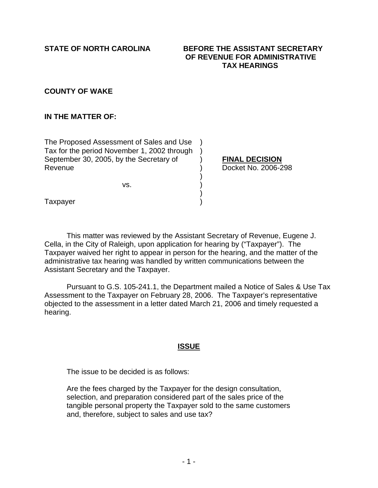### **STATE OF NORTH CAROLINA BEFORE THE ASSISTANT SECRETARY OF REVENUE FOR ADMINISTRATIVE TAX HEARINGS**

## **COUNTY OF WAKE**

## **IN THE MATTER OF:**

The Proposed Assessment of Sales and Use ) Tax for the period November 1, 2002 through ) September 30, 2005, by the Secretary of **FINAL DECISION** Revenue ) Docket No. 2006-298

 $)$  $\mathsf{VS}.$  )  $)$ 

**Taxpayer** 

This matter was reviewed by the Assistant Secretary of Revenue, Eugene J. Cella, in the City of Raleigh, upon application for hearing by ("Taxpayer"). The Taxpayer waived her right to appear in person for the hearing, and the matter of the administrative tax hearing was handled by written communications between the Assistant Secretary and the Taxpayer.

 Pursuant to G.S. 105-241.1, the Department mailed a Notice of Sales & Use Tax Assessment to the Taxpayer on February 28, 2006. The Taxpayer's representative objected to the assessment in a letter dated March 21, 2006 and timely requested a hearing.

## **ISSUE**

The issue to be decided is as follows:

 Are the fees charged by the Taxpayer for the design consultation, selection, and preparation considered part of the sales price of the tangible personal property the Taxpayer sold to the same customers and, therefore, subject to sales and use tax?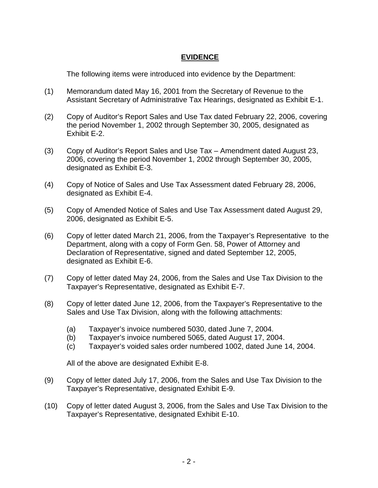# **EVIDENCE**

The following items were introduced into evidence by the Department:

- (1) Memorandum dated May 16, 2001 from the Secretary of Revenue to the Assistant Secretary of Administrative Tax Hearings, designated as Exhibit E-1.
- (2) Copy of Auditor's Report Sales and Use Tax dated February 22, 2006, covering the period November 1, 2002 through September 30, 2005, designated as Exhibit E-2.
- (3) Copy of Auditor's Report Sales and Use Tax Amendment dated August 23, 2006, covering the period November 1, 2002 through September 30, 2005, designated as Exhibit E-3.
- (4) Copy of Notice of Sales and Use Tax Assessment dated February 28, 2006, designated as Exhibit E-4.
- (5) Copy of Amended Notice of Sales and Use Tax Assessment dated August 29, 2006, designated as Exhibit E-5.
- (6) Copy of letter dated March 21, 2006, from the Taxpayer's Representative to the Department, along with a copy of Form Gen. 58, Power of Attorney and Declaration of Representative, signed and dated September 12, 2005, designated as Exhibit E-6.
- (7) Copy of letter dated May 24, 2006, from the Sales and Use Tax Division to the Taxpayer's Representative, designated as Exhibit E-7.
- (8) Copy of letter dated June 12, 2006, from the Taxpayer's Representative to the Sales and Use Tax Division, along with the following attachments:
	- (a) Taxpayer's invoice numbered 5030, dated June 7, 2004.
	- (b) Taxpayer's invoice numbered 5065, dated August 17, 2004.
	- (c) Taxpayer's voided sales order numbered 1002, dated June 14, 2004.

All of the above are designated Exhibit E-8.

- (9) Copy of letter dated July 17, 2006, from the Sales and Use Tax Division to the Taxpayer's Representative, designated Exhibit E-9.
- (10) Copy of letter dated August 3, 2006, from the Sales and Use Tax Division to the Taxpayer's Representative, designated Exhibit E-10.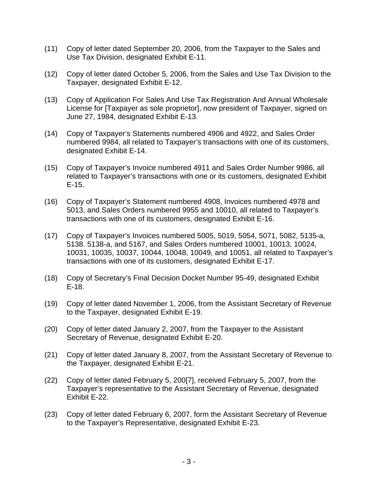- (11) Copy of letter dated September 20, 2006, from the Taxpayer to the Sales and Use Tax Division, designated Exhibit E-11.
- (12) Copy of letter dated October 5, 2006, from the Sales and Use Tax Division to the Taxpayer, designated Exhibit E-12.
- (13) Copy of Application For Sales And Use Tax Registration And Annual Wholesale License for [Taxpayer as sole proprietor], now president of Taxpayer, signed on June 27, 1984, designated Exhibit E-13.
- (14) Copy of Taxpayer's Statements numbered 4906 and 4922, and Sales Order numbered 9984, all related to Taxpayer's transactions with one of its customers, designated Exhibit E-14.
- (15) Copy of Taxpayer's Invoice numbered 4911 and Sales Order Number 9986, all related to Taxpayer's transactions with one or its customers, designated Exhibit E-15.
- (16) Copy of Taxpayer's Statement numbered 4908, Invoices numbered 4978 and 5013, and Sales Orders numbered 9955 and 10010, all related to Taxpayer's transactions with one of its customers, designated Exhibit E-16.
- (17) Copy of Taxpayer's Invoices numbered 5005, 5019, 5054, 5071, 5082, 5135-a, 5138. 5138-a, and 5167, and Sales Orders numbered 10001, 10013, 10024, 10031, 10035, 10037, 10044, 10048, 10049, and 10051, all related to Taxpayer's transactions with one of its customers, designated Exhibit E-17.
- (18) Copy of Secretary's Final Decision Docket Number 95-49, designated Exhibit E-18.
- (19) Copy of letter dated November 1, 2006, from the Assistant Secretary of Revenue to the Taxpayer, designated Exhibit E-19.
- (20) Copy of letter dated January 2, 2007, from the Taxpayer to the Assistant Secretary of Revenue, designated Exhibit E-20.
- (21) Copy of letter dated January 8, 2007, from the Assistant Secretary of Revenue to the Taxpayer, designated Exhibit E-21.
- (22) Copy of letter dated February 5, 200[7], received February 5, 2007, from the Taxpayer's representative to the Assistant Secretary of Revenue, designated Exhibit E-22.
- (23) Copy of letter dated February 6, 2007, form the Assistant Secretary of Revenue to the Taxpayer's Representative, designated Exhibit E-23.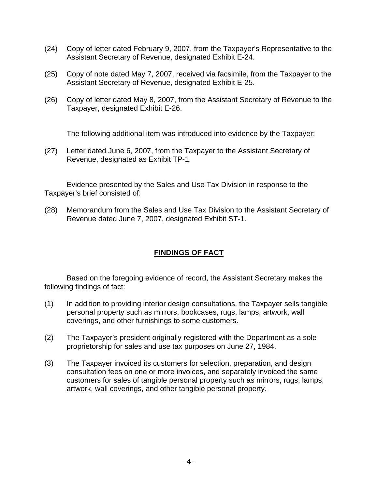- (24) Copy of letter dated February 9, 2007, from the Taxpayer's Representative to the Assistant Secretary of Revenue, designated Exhibit E-24.
- (25) Copy of note dated May 7, 2007, received via facsimile, from the Taxpayer to the Assistant Secretary of Revenue, designated Exhibit E-25.
- (26) Copy of letter dated May 8, 2007, from the Assistant Secretary of Revenue to the Taxpayer, designated Exhibit E-26.

The following additional item was introduced into evidence by the Taxpayer:

(27) Letter dated June 6, 2007, from the Taxpayer to the Assistant Secretary of Revenue, designated as Exhibit TP-1.

Evidence presented by the Sales and Use Tax Division in response to the Taxpayer's brief consisted of:

(28) Memorandum from the Sales and Use Tax Division to the Assistant Secretary of Revenue dated June 7, 2007, designated Exhibit ST-1.

## **FINDINGS OF FACT**

Based on the foregoing evidence of record, the Assistant Secretary makes the following findings of fact:

- (1) In addition to providing interior design consultations, the Taxpayer sells tangible personal property such as mirrors, bookcases, rugs, lamps, artwork, wall coverings, and other furnishings to some customers.
- (2) The Taxpayer's president originally registered with the Department as a sole proprietorship for sales and use tax purposes on June 27, 1984.
- (3) The Taxpayer invoiced its customers for selection, preparation, and design consultation fees on one or more invoices, and separately invoiced the same customers for sales of tangible personal property such as mirrors, rugs, lamps, artwork, wall coverings, and other tangible personal property.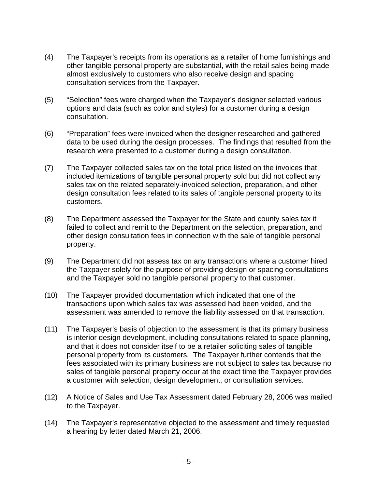- (4) The Taxpayer's receipts from its operations as a retailer of home furnishings and other tangible personal property are substantial, with the retail sales being made almost exclusively to customers who also receive design and spacing consultation services from the Taxpayer.
- (5) "Selection" fees were charged when the Taxpayer's designer selected various options and data (such as color and styles) for a customer during a design consultation.
- (6) "Preparation" fees were invoiced when the designer researched and gathered data to be used during the design processes. The findings that resulted from the research were presented to a customer during a design consultation.
- (7) The Taxpayer collected sales tax on the total price listed on the invoices that included itemizations of tangible personal property sold but did not collect any sales tax on the related separately-invoiced selection, preparation, and other design consultation fees related to its sales of tangible personal property to its customers.
- (8) The Department assessed the Taxpayer for the State and county sales tax it failed to collect and remit to the Department on the selection, preparation, and other design consultation fees in connection with the sale of tangible personal property.
- (9) The Department did not assess tax on any transactions where a customer hired the Taxpayer solely for the purpose of providing design or spacing consultations and the Taxpayer sold no tangible personal property to that customer.
- (10) The Taxpayer provided documentation which indicated that one of the transactions upon which sales tax was assessed had been voided, and the assessment was amended to remove the liability assessed on that transaction.
- (11) The Taxpayer's basis of objection to the assessment is that its primary business is interior design development, including consultations related to space planning, and that it does not consider itself to be a retailer soliciting sales of tangible personal property from its customers. The Taxpayer further contends that the fees associated with its primary business are not subject to sales tax because no sales of tangible personal property occur at the exact time the Taxpayer provides a customer with selection, design development, or consultation services.
- (12) A Notice of Sales and Use Tax Assessment dated February 28, 2006 was mailed to the Taxpayer.
- (14) The Taxpayer's representative objected to the assessment and timely requested a hearing by letter dated March 21, 2006.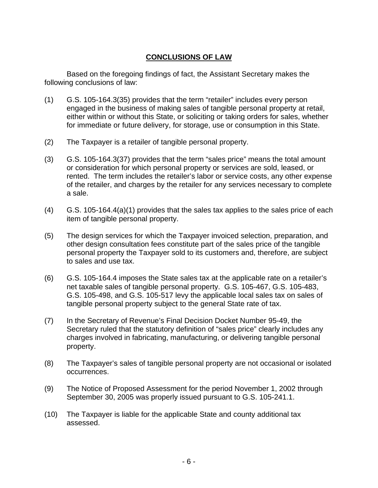# **CONCLUSIONS OF LAW**

Based on the foregoing findings of fact, the Assistant Secretary makes the following conclusions of law:

- (1) G.S. 105-164.3(35) provides that the term "retailer" includes every person engaged in the business of making sales of tangible personal property at retail, either within or without this State, or soliciting or taking orders for sales, whether for immediate or future delivery, for storage, use or consumption in this State.
- (2) The Taxpayer is a retailer of tangible personal property.
- (3) G.S. 105-164.3(37) provides that the term "sales price" means the total amount or consideration for which personal property or services are sold, leased, or rented. The term includes the retailer's labor or service costs, any other expense of the retailer, and charges by the retailer for any services necessary to complete a sale.
- (4) G.S. 105-164.4(a)(1) provides that the sales tax applies to the sales price of each item of tangible personal property.
- (5) The design services for which the Taxpayer invoiced selection, preparation, and other design consultation fees constitute part of the sales price of the tangible personal property the Taxpayer sold to its customers and, therefore, are subject to sales and use tax.
- (6) G.S. 105-164.4 imposes the State sales tax at the applicable rate on a retailer's net taxable sales of tangible personal property. G.S. 105-467, G.S. 105-483, G.S. 105-498, and G.S. 105-517 levy the applicable local sales tax on sales of tangible personal property subject to the general State rate of tax.
- (7) In the Secretary of Revenue's Final Decision Docket Number 95-49, the Secretary ruled that the statutory definition of "sales price" clearly includes any charges involved in fabricating, manufacturing, or delivering tangible personal property.
- (8) The Taxpayer's sales of tangible personal property are not occasional or isolated occurrences.
- (9) The Notice of Proposed Assessment for the period November 1, 2002 through September 30, 2005 was properly issued pursuant to G.S. 105-241.1.
- (10) The Taxpayer is liable for the applicable State and county additional tax assessed.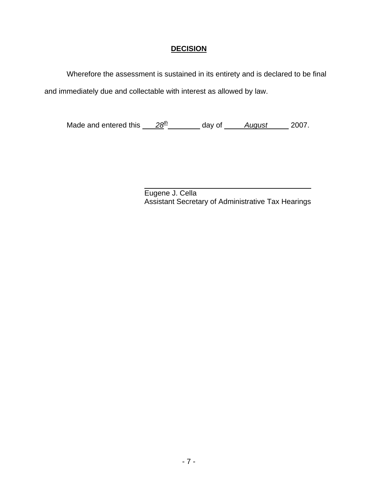## **DECISION**

Wherefore the assessment is sustained in its entirety and is declared to be final and immediately due and collectable with interest as allowed by law.

Made and entered this  $28<sup>th</sup>$  day of *August* 2007.

 $\overline{a}$ Eugene J. Cella Assistant Secretary of Administrative Tax Hearings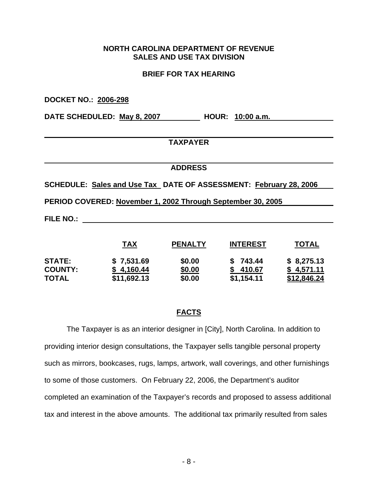## **NORTH CAROLINA DEPARTMENT OF REVENUE SALES AND USE TAX DIVISION**

### **BRIEF FOR TAX HEARING**

**DOCKET NO.: 2006-298 DATE SCHEDULED: May 8, 2007 HOUR: 10:00 a.m.** 

### **TAXPAYER**

#### **ADDRESS**

**SCHEDULE: Sales and Use Tax DATE OF ASSESSMENT: February 28, 2006** 

**PERIOD COVERED: November 1, 2002 Through September 30, 2005** 

**FILE NO.:** 

|                | TAX         | <b>PENALTY</b> | <b>INTEREST</b> | TOTAL              |
|----------------|-------------|----------------|-----------------|--------------------|
| <b>STATE:</b>  | \$7,531.69  | \$0.00         | \$743.44        | \$8,275.13         |
| <b>COUNTY:</b> | \$4,160.44  | \$0.00         | \$410.67        | \$4.571.11         |
| <b>TOTAL</b>   | \$11,692.13 | \$0.00         | \$1,154.11      | <u>\$12,846.24</u> |

## **FACTS**

The Taxpayer is as an interior designer in [City], North Carolina. In addition to providing interior design consultations, the Taxpayer sells tangible personal property such as mirrors, bookcases, rugs, lamps, artwork, wall coverings, and other furnishings to some of those customers. On February 22, 2006, the Department's auditor completed an examination of the Taxpayer's records and proposed to assess additional tax and interest in the above amounts. The additional tax primarily resulted from sales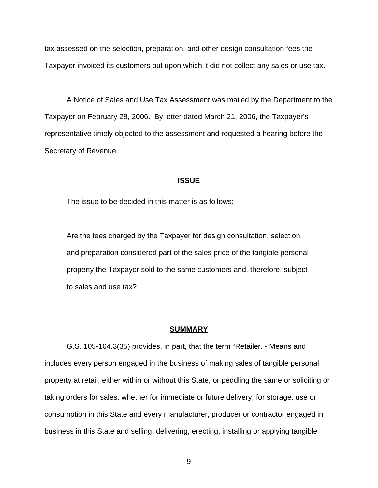tax assessed on the selection, preparation, and other design consultation fees the Taxpayer invoiced its customers but upon which it did not collect any sales or use tax.

A Notice of Sales and Use Tax Assessment was mailed by the Department to the Taxpayer on February 28, 2006. By letter dated March 21, 2006, the Taxpayer's representative timely objected to the assessment and requested a hearing before the Secretary of Revenue.

#### **ISSUE**

The issue to be decided in this matter is as follows:

 Are the fees charged by the Taxpayer for design consultation, selection, and preparation considered part of the sales price of the tangible personal property the Taxpayer sold to the same customers and, therefore, subject to sales and use tax?

#### **SUMMARY**

G.S. 105-164.3(35) provides, in part, that the term "Retailer. - Means and includes every person engaged in the business of making sales of tangible personal property at retail, either within or without this State, or peddling the same or soliciting or taking orders for sales, whether for immediate or future delivery, for storage, use or consumption in this State and every manufacturer, producer or contractor engaged in business in this State and selling, delivering, erecting, installing or applying tangible

- 9 -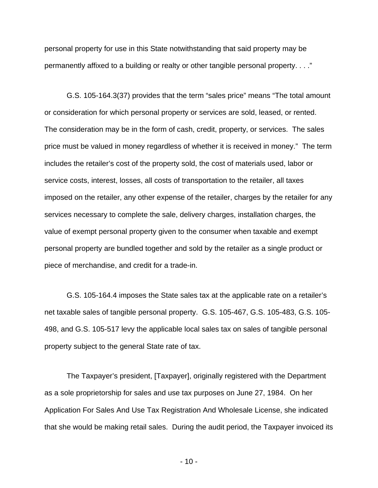personal property for use in this State notwithstanding that said property may be permanently affixed to a building or realty or other tangible personal property. . . ."

G.S. 105-164.3(37) provides that the term "sales price" means "The total amount or consideration for which personal property or services are sold, leased, or rented. The consideration may be in the form of cash, credit, property, or services. The sales price must be valued in money regardless of whether it is received in money." The term includes the retailer's cost of the property sold, the cost of materials used, labor or service costs, interest, losses, all costs of transportation to the retailer, all taxes imposed on the retailer, any other expense of the retailer, charges by the retailer for any services necessary to complete the sale, delivery charges, installation charges, the value of exempt personal property given to the consumer when taxable and exempt personal property are bundled together and sold by the retailer as a single product or piece of merchandise, and credit for a trade-in.

G.S. 105-164.4 imposes the State sales tax at the applicable rate on a retailer's net taxable sales of tangible personal property. G.S. 105-467, G.S. 105-483, G.S. 105- 498, and G.S. 105-517 levy the applicable local sales tax on sales of tangible personal property subject to the general State rate of tax.

The Taxpayer's president, [Taxpayer], originally registered with the Department as a sole proprietorship for sales and use tax purposes on June 27, 1984. On her Application For Sales And Use Tax Registration And Wholesale License, she indicated that she would be making retail sales. During the audit period, the Taxpayer invoiced its

- 10 -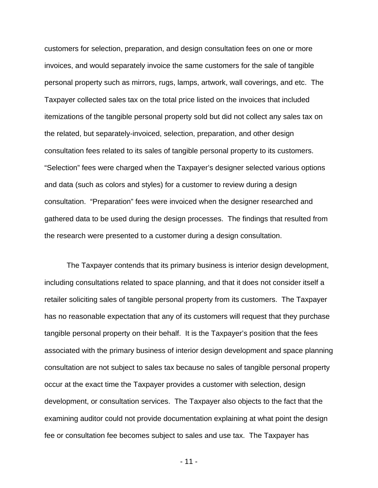customers for selection, preparation, and design consultation fees on one or more invoices, and would separately invoice the same customers for the sale of tangible personal property such as mirrors, rugs, lamps, artwork, wall coverings, and etc. The Taxpayer collected sales tax on the total price listed on the invoices that included itemizations of the tangible personal property sold but did not collect any sales tax on the related, but separately-invoiced, selection, preparation, and other design consultation fees related to its sales of tangible personal property to its customers. "Selection" fees were charged when the Taxpayer's designer selected various options and data (such as colors and styles) for a customer to review during a design consultation. "Preparation" fees were invoiced when the designer researched and gathered data to be used during the design processes. The findings that resulted from the research were presented to a customer during a design consultation.

The Taxpayer contends that its primary business is interior design development, including consultations related to space planning, and that it does not consider itself a retailer soliciting sales of tangible personal property from its customers. The Taxpayer has no reasonable expectation that any of its customers will request that they purchase tangible personal property on their behalf. It is the Taxpayer's position that the fees associated with the primary business of interior design development and space planning consultation are not subject to sales tax because no sales of tangible personal property occur at the exact time the Taxpayer provides a customer with selection, design development, or consultation services. The Taxpayer also objects to the fact that the examining auditor could not provide documentation explaining at what point the design fee or consultation fee becomes subject to sales and use tax. The Taxpayer has

- 11 -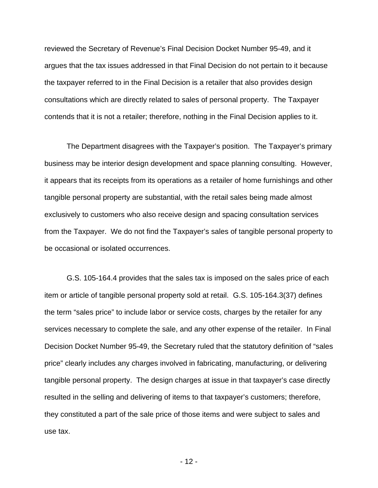reviewed the Secretary of Revenue's Final Decision Docket Number 95-49, and it argues that the tax issues addressed in that Final Decision do not pertain to it because the taxpayer referred to in the Final Decision is a retailer that also provides design consultations which are directly related to sales of personal property. The Taxpayer contends that it is not a retailer; therefore, nothing in the Final Decision applies to it.

The Department disagrees with the Taxpayer's position. The Taxpayer's primary business may be interior design development and space planning consulting. However, it appears that its receipts from its operations as a retailer of home furnishings and other tangible personal property are substantial, with the retail sales being made almost exclusively to customers who also receive design and spacing consultation services from the Taxpayer. We do not find the Taxpayer's sales of tangible personal property to be occasional or isolated occurrences.

G.S. 105-164.4 provides that the sales tax is imposed on the sales price of each item or article of tangible personal property sold at retail. G.S. 105-164.3(37) defines the term "sales price" to include labor or service costs, charges by the retailer for any services necessary to complete the sale, and any other expense of the retailer. In Final Decision Docket Number 95-49, the Secretary ruled that the statutory definition of "sales price" clearly includes any charges involved in fabricating, manufacturing, or delivering tangible personal property. The design charges at issue in that taxpayer's case directly resulted in the selling and delivering of items to that taxpayer's customers; therefore, they constituted a part of the sale price of those items and were subject to sales and use tax.

- 12 -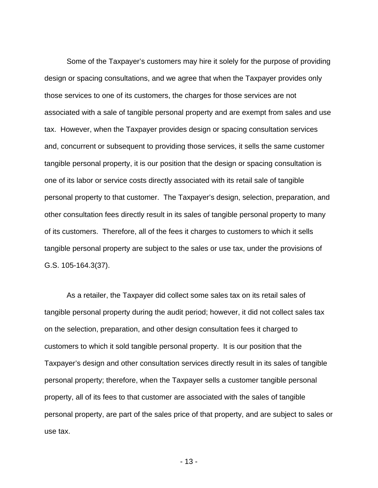Some of the Taxpayer's customers may hire it solely for the purpose of providing design or spacing consultations, and we agree that when the Taxpayer provides only those services to one of its customers, the charges for those services are not associated with a sale of tangible personal property and are exempt from sales and use tax. However, when the Taxpayer provides design or spacing consultation services and, concurrent or subsequent to providing those services, it sells the same customer tangible personal property, it is our position that the design or spacing consultation is one of its labor or service costs directly associated with its retail sale of tangible personal property to that customer. The Taxpayer's design, selection, preparation, and other consultation fees directly result in its sales of tangible personal property to many of its customers. Therefore, all of the fees it charges to customers to which it sells tangible personal property are subject to the sales or use tax, under the provisions of G.S. 105-164.3(37).

As a retailer, the Taxpayer did collect some sales tax on its retail sales of tangible personal property during the audit period; however, it did not collect sales tax on the selection, preparation, and other design consultation fees it charged to customers to which it sold tangible personal property. It is our position that the Taxpayer's design and other consultation services directly result in its sales of tangible personal property; therefore, when the Taxpayer sells a customer tangible personal property, all of its fees to that customer are associated with the sales of tangible personal property, are part of the sales price of that property, and are subject to sales or use tax.

- 13 -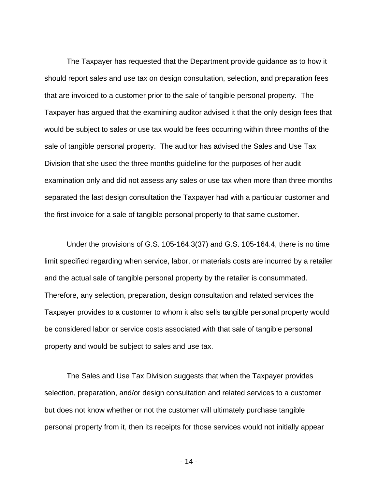The Taxpayer has requested that the Department provide guidance as to how it should report sales and use tax on design consultation, selection, and preparation fees that are invoiced to a customer prior to the sale of tangible personal property. The Taxpayer has argued that the examining auditor advised it that the only design fees that would be subject to sales or use tax would be fees occurring within three months of the sale of tangible personal property. The auditor has advised the Sales and Use Tax Division that she used the three months guideline for the purposes of her audit examination only and did not assess any sales or use tax when more than three months separated the last design consultation the Taxpayer had with a particular customer and the first invoice for a sale of tangible personal property to that same customer.

Under the provisions of G.S. 105-164.3(37) and G.S. 105-164.4, there is no time limit specified regarding when service, labor, or materials costs are incurred by a retailer and the actual sale of tangible personal property by the retailer is consummated. Therefore, any selection, preparation, design consultation and related services the Taxpayer provides to a customer to whom it also sells tangible personal property would be considered labor or service costs associated with that sale of tangible personal property and would be subject to sales and use tax.

The Sales and Use Tax Division suggests that when the Taxpayer provides selection, preparation, and/or design consultation and related services to a customer but does not know whether or not the customer will ultimately purchase tangible personal property from it, then its receipts for those services would not initially appear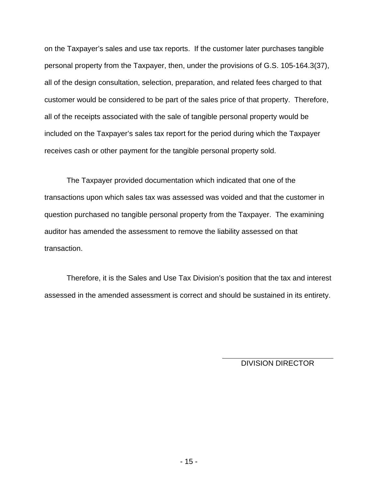on the Taxpayer's sales and use tax reports. If the customer later purchases tangible personal property from the Taxpayer, then, under the provisions of G.S. 105-164.3(37), all of the design consultation, selection, preparation, and related fees charged to that customer would be considered to be part of the sales price of that property. Therefore, all of the receipts associated with the sale of tangible personal property would be included on the Taxpayer's sales tax report for the period during which the Taxpayer receives cash or other payment for the tangible personal property sold.

The Taxpayer provided documentation which indicated that one of the transactions upon which sales tax was assessed was voided and that the customer in question purchased no tangible personal property from the Taxpayer. The examining auditor has amended the assessment to remove the liability assessed on that transaction.

Therefore, it is the Sales and Use Tax Division's position that the tax and interest assessed in the amended assessment is correct and should be sustained in its entirety.

DIVISION DIRECTOR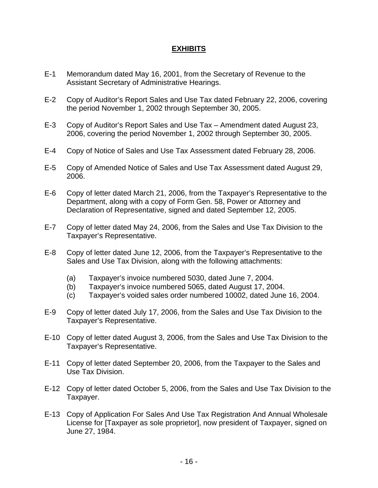## **EXHIBITS**

- E-1 Memorandum dated May 16, 2001, from the Secretary of Revenue to the Assistant Secretary of Administrative Hearings.
- E-2 Copy of Auditor's Report Sales and Use Tax dated February 22, 2006, covering the period November 1, 2002 through September 30, 2005.
- E-3 Copy of Auditor's Report Sales and Use Tax Amendment dated August 23, 2006, covering the period November 1, 2002 through September 30, 2005.
- E-4 Copy of Notice of Sales and Use Tax Assessment dated February 28, 2006.
- E-5 Copy of Amended Notice of Sales and Use Tax Assessment dated August 29, 2006.
- E-6 Copy of letter dated March 21, 2006, from the Taxpayer's Representative to the Department, along with a copy of Form Gen. 58, Power or Attorney and Declaration of Representative, signed and dated September 12, 2005.
- E-7 Copy of letter dated May 24, 2006, from the Sales and Use Tax Division to the Taxpayer's Representative.
- E-8 Copy of letter dated June 12, 2006, from the Taxpayer's Representative to the Sales and Use Tax Division, along with the following attachments:
	- (a) Taxpayer's invoice numbered 5030, dated June 7, 2004.
	- (b) Taxpayer's invoice numbered 5065, dated August 17, 2004.
	- (c) Taxpayer's voided sales order numbered 10002, dated June 16, 2004.
- E-9 Copy of letter dated July 17, 2006, from the Sales and Use Tax Division to the Taxpayer's Representative.
- E-10 Copy of letter dated August 3, 2006, from the Sales and Use Tax Division to the Taxpayer's Representative.
- E-11 Copy of letter dated September 20, 2006, from the Taxpayer to the Sales and Use Tax Division.
- E-12 Copy of letter dated October 5, 2006, from the Sales and Use Tax Division to the Taxpayer.
- E-13 Copy of Application For Sales And Use Tax Registration And Annual Wholesale License for [Taxpayer as sole proprietor], now president of Taxpayer, signed on June 27, 1984.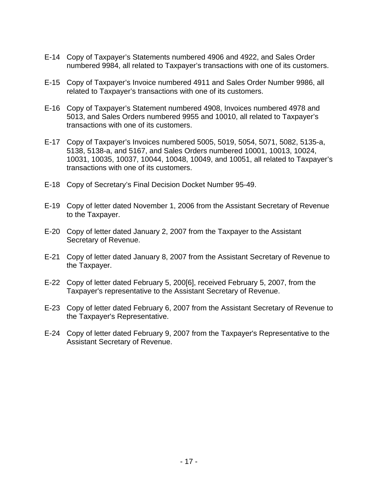- E-14 Copy of Taxpayer's Statements numbered 4906 and 4922, and Sales Order numbered 9984, all related to Taxpayer's transactions with one of its customers.
- E-15 Copy of Taxpayer's Invoice numbered 4911 and Sales Order Number 9986, all related to Taxpayer's transactions with one of its customers.
- E-16 Copy of Taxpayer's Statement numbered 4908, Invoices numbered 4978 and 5013, and Sales Orders numbered 9955 and 10010, all related to Taxpayer's transactions with one of its customers.
- E-17 Copy of Taxpayer's Invoices numbered 5005, 5019, 5054, 5071, 5082, 5135-a, 5138, 5138-a, and 5167, and Sales Orders numbered 10001, 10013, 10024, 10031, 10035, 10037, 10044, 10048, 10049, and 10051, all related to Taxpayer's transactions with one of its customers.
- E-18 Copy of Secretary's Final Decision Docket Number 95-49.
- E-19 Copy of letter dated November 1, 2006 from the Assistant Secretary of Revenue to the Taxpayer.
- E-20 Copy of letter dated January 2, 2007 from the Taxpayer to the Assistant Secretary of Revenue.
- E-21 Copy of letter dated January 8, 2007 from the Assistant Secretary of Revenue to the Taxpayer.
- E-22 Copy of letter dated February 5, 200[6], received February 5, 2007, from the Taxpayer's representative to the Assistant Secretary of Revenue.
- E-23 Copy of letter dated February 6, 2007 from the Assistant Secretary of Revenue to the Taxpayer's Representative.
- E-24 Copy of letter dated February 9, 2007 from the Taxpayer's Representative to the Assistant Secretary of Revenue.